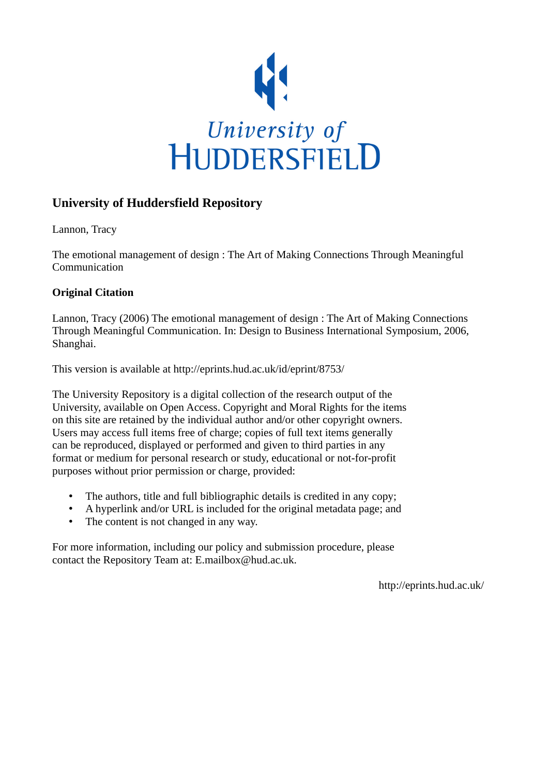

# **University of Huddersfield Repository**

Lannon, Tracy

The emotional management of design : The Art of Making Connections Through Meaningful Communication

# **Original Citation**

Lannon, Tracy (2006) The emotional management of design : The Art of Making Connections Through Meaningful Communication. In: Design to Business International Symposium, 2006, Shanghai.

This version is available at http://eprints.hud.ac.uk/id/eprint/8753/

The University Repository is a digital collection of the research output of the University, available on Open Access. Copyright and Moral Rights for the items on this site are retained by the individual author and/or other copyright owners. Users may access full items free of charge; copies of full text items generally can be reproduced, displayed or performed and given to third parties in any format or medium for personal research or study, educational or not-for-profit purposes without prior permission or charge, provided:

- The authors, title and full bibliographic details is credited in any copy;
- A hyperlink and/or URL is included for the original metadata page; and
- The content is not changed in any way.

For more information, including our policy and submission procedure, please contact the Repository Team at: E.mailbox@hud.ac.uk.

http://eprints.hud.ac.uk/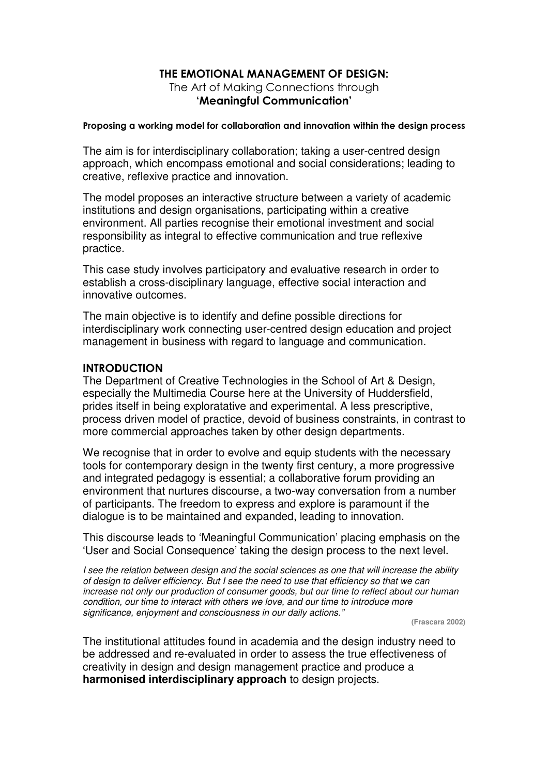# THE EMOTIONAL MANAGEMENT OF DESIGN:

The Art of Making Connections through 'Meaningful Communication'

#### Proposing a working model for collaboration and innovation within the design process

The aim is for interdisciplinary collaboration; taking a user-centred design approach, which encompass emotional and social considerations; leading to creative, reflexive practice and innovation.

The model proposes an interactive structure between a variety of academic institutions and design organisations, participating within a creative environment. All parties recognise their emotional investment and social responsibility as integral to effective communication and true reflexive practice.

This case study involves participatory and evaluative research in order to establish a cross-disciplinary language, effective social interaction and innovative outcomes.

The main objective is to identify and define possible directions for interdisciplinary work connecting user-centred design education and project management in business with regard to language and communication.

# **INTRODUCTION**

The Department of Creative Technologies in the School of Art & Design, especially the Multimedia Course here at the University of Huddersfield, prides itself in being exploratative and experimental. A less prescriptive, process driven model of practice, devoid of business constraints, in contrast to more commercial approaches taken by other design departments.

We recognise that in order to evolve and equip students with the necessary tools for contemporary design in the twenty first century, a more progressive and integrated pedagogy is essential; a collaborative forum providing an environment that nurtures discourse, a two-way conversation from a number of participants. The freedom to express and explore is paramount if the dialogue is to be maintained and expanded, leading to innovation.

This discourse leads to 'Meaningful Communication' placing emphasis on the 'User and Social Consequence' taking the design process to the next level.

I see the relation between design and the social sciences as one that will increase the ability of design to deliver efficiency. But I see the need to use that efficiency so that we can increase not only our production of consumer goods, but our time to reflect about our human condition, our time to interact with others we love, and our time to introduce more significance, enjoyment and consciousness in our daily actions."

**(Frascara 2002)** 

The institutional attitudes found in academia and the design industry need to be addressed and re-evaluated in order to assess the true effectiveness of creativity in design and design management practice and produce a **harmonised interdisciplinary approach** to design projects.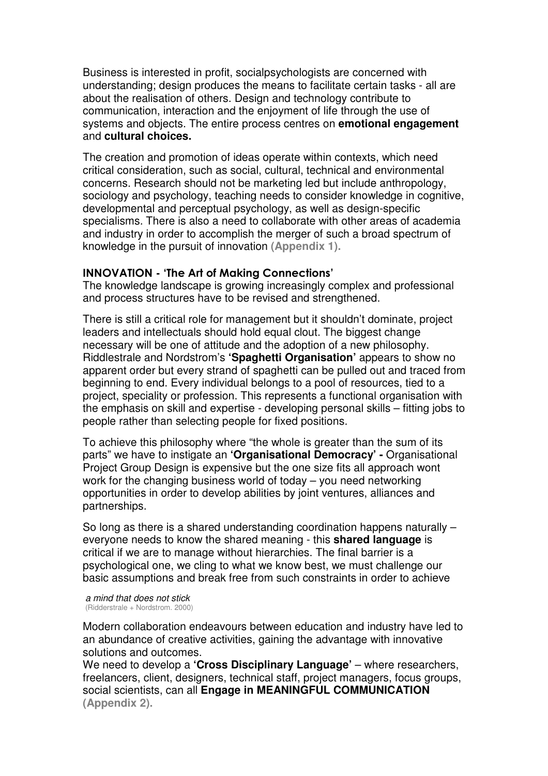Business is interested in profit, socialpsychologists are concerned with understanding; design produces the means to facilitate certain tasks - all are about the realisation of others. Design and technology contribute to communication, interaction and the enjoyment of life through the use of systems and objects. The entire process centres on **emotional engagement**  and **cultural choices.** 

The creation and promotion of ideas operate within contexts, which need critical consideration, such as social, cultural, technical and environmental concerns. Research should not be marketing led but include anthropology, sociology and psychology, teaching needs to consider knowledge in cognitive, developmental and perceptual psychology, as well as design-specific specialisms. There is also a need to collaborate with other areas of academia and industry in order to accomplish the merger of such a broad spectrum of knowledge in the pursuit of innovation **(Appendix 1).**

#### INNOVATION - 'The Art of Making Connections'

The knowledge landscape is growing increasingly complex and professional and process structures have to be revised and strengthened.

There is still a critical role for management but it shouldn't dominate, project leaders and intellectuals should hold equal clout. The biggest change necessary will be one of attitude and the adoption of a new philosophy. Riddlestrale and Nordstrom's **'Spaghetti Organisation'** appears to show no apparent order but every strand of spaghetti can be pulled out and traced from beginning to end. Every individual belongs to a pool of resources, tied to a project, speciality or profession. This represents a functional organisation with the emphasis on skill and expertise - developing personal skills – fitting jobs to people rather than selecting people for fixed positions.

To achieve this philosophy where "the whole is greater than the sum of its parts" we have to instigate an **'Organisational Democracy' -** Organisational Project Group Design is expensive but the one size fits all approach wont work for the changing business world of today – you need networking opportunities in order to develop abilities by joint ventures, alliances and partnerships.

So long as there is a shared understanding coordination happens naturally – everyone needs to know the shared meaning - this **shared language** is critical if we are to manage without hierarchies. The final barrier is a psychological one, we cling to what we know best, we must challenge our basic assumptions and break free from such constraints in order to achieve

 a mind that does not stick (Ridderstrale + Nordstrom. 2000)

Modern collaboration endeavours between education and industry have led to an abundance of creative activities, gaining the advantage with innovative solutions and outcomes.

We need to develop a **'Cross Disciplinary Language'** – where researchers, freelancers, client, designers, technical staff, project managers, focus groups, social scientists, can all **Engage in MEANINGFUL COMMUNICATION (Appendix 2).**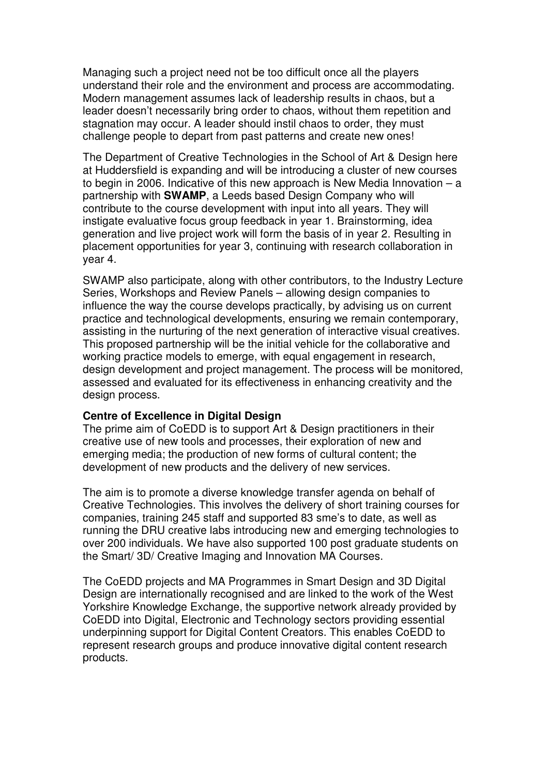Managing such a project need not be too difficult once all the players understand their role and the environment and process are accommodating. Modern management assumes lack of leadership results in chaos, but a leader doesn't necessarily bring order to chaos, without them repetition and stagnation may occur. A leader should instil chaos to order, they must challenge people to depart from past patterns and create new ones!

The Department of Creative Technologies in the School of Art & Design here at Huddersfield is expanding and will be introducing a cluster of new courses to begin in 2006. Indicative of this new approach is New Media Innovation – a partnership with **SWAMP**, a Leeds based Design Company who will contribute to the course development with input into all years. They will instigate evaluative focus group feedback in year 1. Brainstorming, idea generation and live project work will form the basis of in year 2. Resulting in placement opportunities for year 3, continuing with research collaboration in year 4.

SWAMP also participate, along with other contributors, to the Industry Lecture Series, Workshops and Review Panels – allowing design companies to influence the way the course develops practically, by advising us on current practice and technological developments, ensuring we remain contemporary, assisting in the nurturing of the next generation of interactive visual creatives. This proposed partnership will be the initial vehicle for the collaborative and working practice models to emerge, with equal engagement in research, design development and project management. The process will be monitored, assessed and evaluated for its effectiveness in enhancing creativity and the design process.

#### **Centre of Excellence in Digital Design**

The prime aim of CoEDD is to support Art & Design practitioners in their creative use of new tools and processes, their exploration of new and emerging media; the production of new forms of cultural content; the development of new products and the delivery of new services.

The aim is to promote a diverse knowledge transfer agenda on behalf of Creative Technologies. This involves the delivery of short training courses for companies, training 245 staff and supported 83 sme's to date, as well as running the DRU creative labs introducing new and emerging technologies to over 200 individuals. We have also supported 100 post graduate students on the Smart/ 3D/ Creative Imaging and Innovation MA Courses.

The CoEDD projects and MA Programmes in Smart Design and 3D Digital Design are internationally recognised and are linked to the work of the West Yorkshire Knowledge Exchange, the supportive network already provided by CoEDD into Digital, Electronic and Technology sectors providing essential underpinning support for Digital Content Creators. This enables CoEDD to represent research groups and produce innovative digital content research products.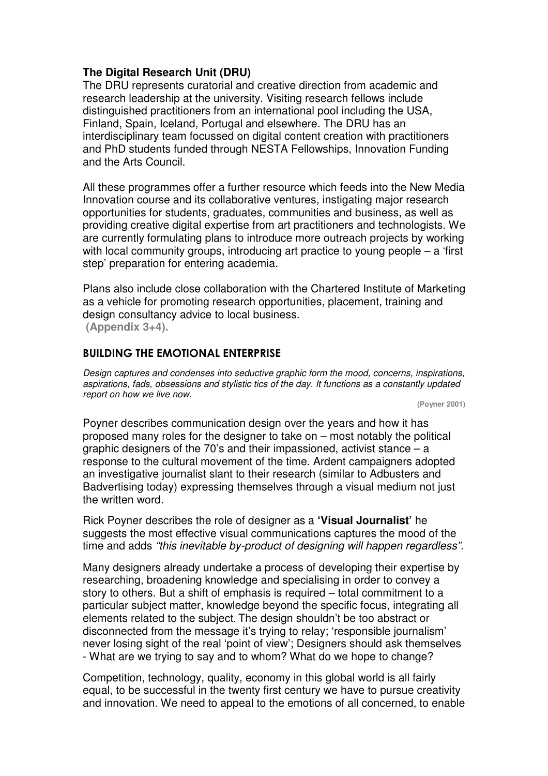# **The Digital Research Unit (DRU)**

The DRU represents curatorial and creative direction from academic and research leadership at the university. Visiting research fellows include distinguished practitioners from an international pool including the USA, Finland, Spain, Iceland, Portugal and elsewhere. The DRU has an interdisciplinary team focussed on digital content creation with practitioners and PhD students funded through NESTA Fellowships, Innovation Funding and the Arts Council.

All these programmes offer a further resource which feeds into the New Media Innovation course and its collaborative ventures, instigating major research opportunities for students, graduates, communities and business, as well as providing creative digital expertise from art practitioners and technologists. We are currently formulating plans to introduce more outreach projects by working with local community groups, introducing art practice to young people – a 'first step' preparation for entering academia.

Plans also include close collaboration with the Chartered Institute of Marketing as a vehicle for promoting research opportunities, placement, training and design consultancy advice to local business.

 **(Appendix 3+4).**

# BUILDING THE EMOTIONAL ENTERPRISE

Design captures and condenses into seductive graphic form the mood, concerns, inspirations, aspirations, fads, obsessions and stylistic tics of the day. It functions as a constantly updated report on how we live now.

**(Poyner 2001)** 

Poyner describes communication design over the years and how it has proposed many roles for the designer to take on – most notably the political graphic designers of the 70's and their impassioned, activist stance – a response to the cultural movement of the time. Ardent campaigners adopted an investigative journalist slant to their research (similar to Adbusters and Badvertising today) expressing themselves through a visual medium not just the written word.

Rick Poyner describes the role of designer as a **'Visual Journalist'** he suggests the most effective visual communications captures the mood of the time and adds "this inevitable by-product of designing will happen regardless".

Many designers already undertake a process of developing their expertise by researching, broadening knowledge and specialising in order to convey a story to others. But a shift of emphasis is required – total commitment to a particular subject matter, knowledge beyond the specific focus, integrating all elements related to the subject. The design shouldn't be too abstract or disconnected from the message it's trying to relay; 'responsible journalism' never losing sight of the real 'point of view'; Designers should ask themselves - What are we trying to say and to whom? What do we hope to change?

Competition, technology, quality, economy in this global world is all fairly equal, to be successful in the twenty first century we have to pursue creativity and innovation. We need to appeal to the emotions of all concerned, to enable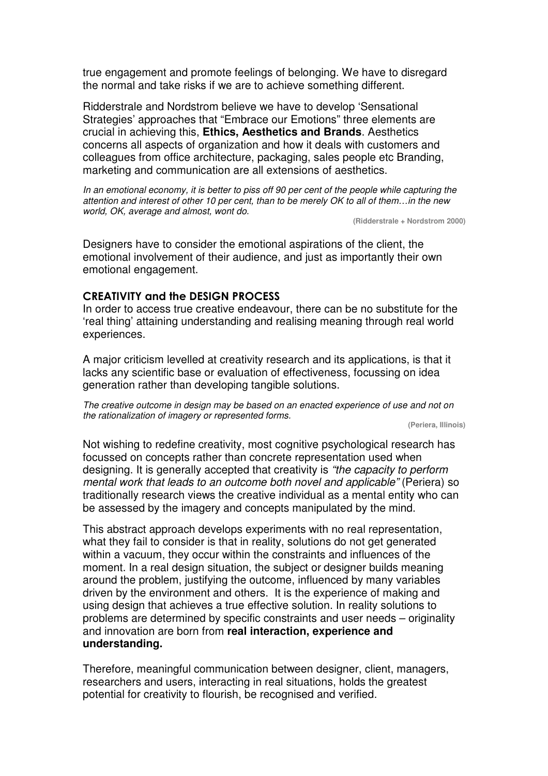true engagement and promote feelings of belonging. We have to disregard the normal and take risks if we are to achieve something different.

Ridderstrale and Nordstrom believe we have to develop 'Sensational Strategies' approaches that "Embrace our Emotions" three elements are crucial in achieving this, **Ethics, Aesthetics and Brands**. Aesthetics concerns all aspects of organization and how it deals with customers and colleagues from office architecture, packaging, sales people etc Branding, marketing and communication are all extensions of aesthetics.

In an emotional economy, it is better to piss off 90 per cent of the people while capturing the attention and interest of other 10 per cent, than to be merely OK to all of them…in the new world, OK, average and almost, wont do.

**(Ridderstrale + Nordstrom 2000)**

Designers have to consider the emotional aspirations of the client, the emotional involvement of their audience, and just as importantly their own emotional engagement.

#### CREATIVITY and the DESIGN PROCESS

In order to access true creative endeavour, there can be no substitute for the 'real thing' attaining understanding and realising meaning through real world experiences.

A major criticism levelled at creativity research and its applications, is that it lacks any scientific base or evaluation of effectiveness, focussing on idea generation rather than developing tangible solutions.

The creative outcome in design may be based on an enacted experience of use and not on the rationalization of imagery or represented forms.

**(Periera, Illinois)** 

Not wishing to redefine creativity, most cognitive psychological research has focussed on concepts rather than concrete representation used when designing. It is generally accepted that creativity is "the capacity to perform mental work that leads to an outcome both novel and applicable" (Periera) so traditionally research views the creative individual as a mental entity who can be assessed by the imagery and concepts manipulated by the mind.

This abstract approach develops experiments with no real representation, what they fail to consider is that in reality, solutions do not get generated within a vacuum, they occur within the constraints and influences of the moment. In a real design situation, the subject or designer builds meaning around the problem, justifying the outcome, influenced by many variables driven by the environment and others. It is the experience of making and using design that achieves a true effective solution. In reality solutions to problems are determined by specific constraints and user needs – originality and innovation are born from **real interaction, experience and understanding.** 

Therefore, meaningful communication between designer, client, managers, researchers and users, interacting in real situations, holds the greatest potential for creativity to flourish, be recognised and verified.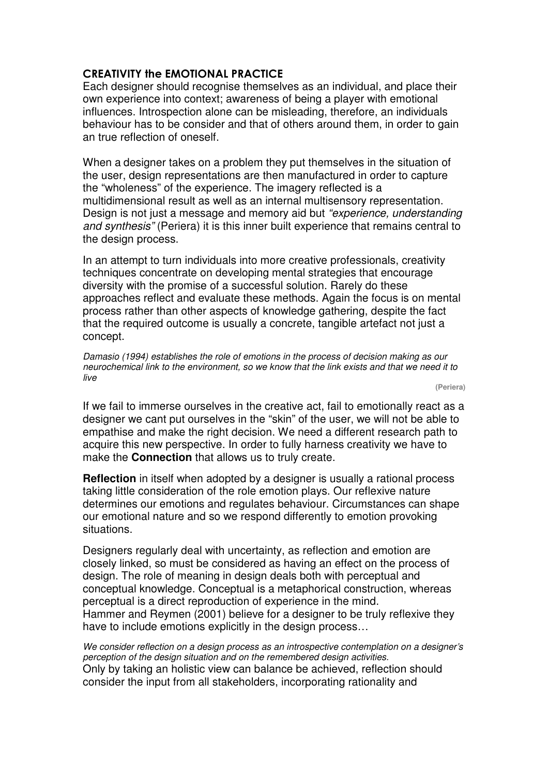# CREATIVITY the EMOTIONAL PRACTICE

Each designer should recognise themselves as an individual, and place their own experience into context; awareness of being a player with emotional influences. Introspection alone can be misleading, therefore, an individuals behaviour has to be consider and that of others around them, in order to gain an true reflection of oneself.

When a designer takes on a problem they put themselves in the situation of the user, design representations are then manufactured in order to capture the "wholeness" of the experience. The imagery reflected is a multidimensional result as well as an internal multisensory representation. Design is not just a message and memory aid but "experience, understanding and synthesis" (Periera) it is this inner built experience that remains central to the design process.

In an attempt to turn individuals into more creative professionals, creativity techniques concentrate on developing mental strategies that encourage diversity with the promise of a successful solution. Rarely do these approaches reflect and evaluate these methods. Again the focus is on mental process rather than other aspects of knowledge gathering, despite the fact that the required outcome is usually a concrete, tangible artefact not just a concept.

Damasio (1994) establishes the role of emotions in the process of decision making as our neurochemical link to the environment, so we know that the link exists and that we need it to live

**(Periera)**

If we fail to immerse ourselves in the creative act, fail to emotionally react as a designer we cant put ourselves in the "skin" of the user, we will not be able to empathise and make the right decision. We need a different research path to acquire this new perspective. In order to fully harness creativity we have to make the **Connection** that allows us to truly create.

**Reflection** in itself when adopted by a designer is usually a rational process taking little consideration of the role emotion plays. Our reflexive nature determines our emotions and regulates behaviour. Circumstances can shape our emotional nature and so we respond differently to emotion provoking situations.

Designers regularly deal with uncertainty, as reflection and emotion are closely linked, so must be considered as having an effect on the process of design. The role of meaning in design deals both with perceptual and conceptual knowledge. Conceptual is a metaphorical construction, whereas perceptual is a direct reproduction of experience in the mind. Hammer and Reymen (2001) believe for a designer to be truly reflexive they have to include emotions explicitly in the design process…

We consider reflection on a design process as an introspective contemplation on a designer's perception of the design situation and on the remembered design activities. Only by taking an holistic view can balance be achieved, reflection should consider the input from all stakeholders, incorporating rationality and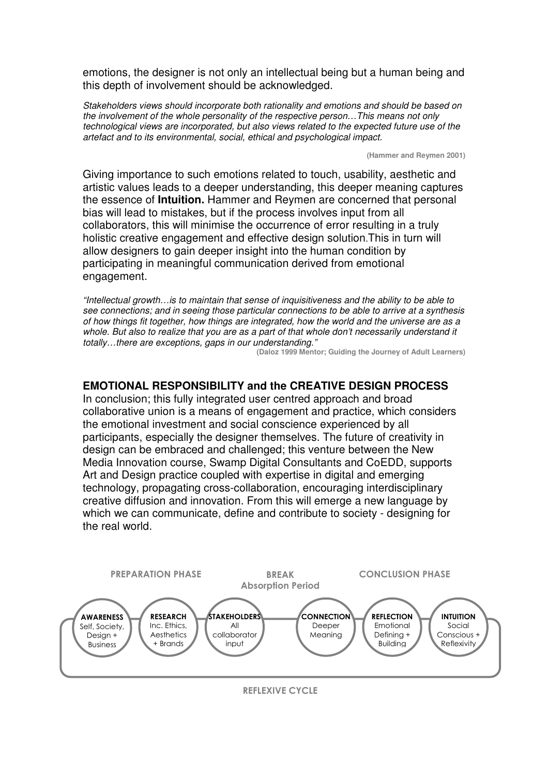emotions, the designer is not only an intellectual being but a human being and this depth of involvement should be acknowledged.

Stakeholders views should incorporate both rationality and emotions and should be based on the involvement of the whole personality of the respective person…This means not only technological views are incorporated, but also views related to the expected future use of the artefact and to its environmental, social, ethical and psychological impact.

**(Hammer and Reymen 2001)**

Giving importance to such emotions related to touch, usability, aesthetic and artistic values leads to a deeper understanding, this deeper meaning captures the essence of **Intuition.** Hammer and Reymen are concerned that personal bias will lead to mistakes, but if the process involves input from all collaborators, this will minimise the occurrence of error resulting in a truly holistic creative engagement and effective design solution.This in turn will allow designers to gain deeper insight into the human condition by participating in meaningful communication derived from emotional engagement.

"Intellectual growth…is to maintain that sense of inquisitiveness and the ability to be able to see connections; and in seeing those particular connections to be able to arrive at a synthesis of how things fit together, how things are integrated, how the world and the universe are as a whole. But also to realize that you are as a part of that whole don't necessarily understand it totally…there are exceptions, gaps in our understanding."

**(Daloz 1999 Mentor; Guiding the Journey of Adult Learners)** 

### **EMOTIONAL RESPONSIBILITY and the CREATIVE DESIGN PROCESS**

In conclusion; this fully integrated user centred approach and broad collaborative union is a means of engagement and practice, which considers the emotional investment and social conscience experienced by all participants, especially the designer themselves. The future of creativity in design can be embraced and challenged; this venture between the New Media Innovation course, Swamp Digital Consultants and CoEDD, supports Art and Design practice coupled with expertise in digital and emerging technology, propagating cross-collaboration, encouraging interdisciplinary creative diffusion and innovation. From this will emerge a new language by which we can communicate, define and contribute to society - designing for the real world.



REFLEXIVE CYCLE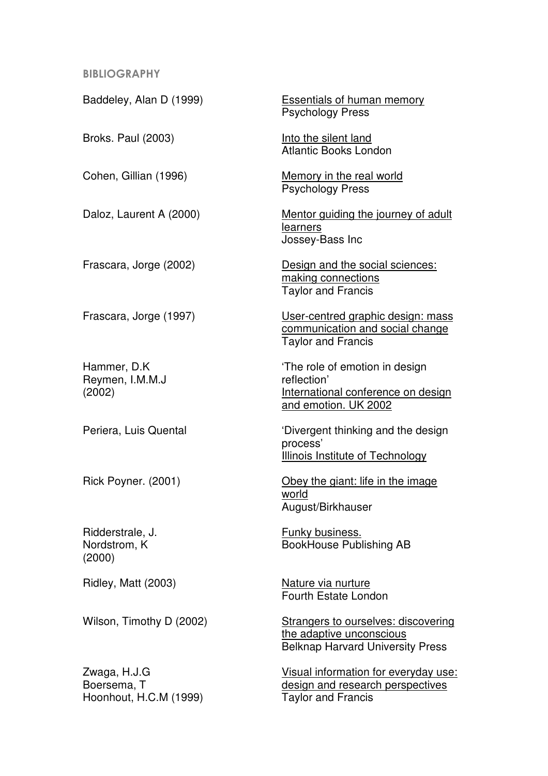#### BIBLIOGRAPHY

Baddeley, Alan D (1999) Essentials of human memory

Reymen, I.M.M.J reflection'

Ridderstrale, J. **Funky business.** (2000)

Hoonhout, H.C.M (1999) Taylor and Francis

Psychology Press

Broks. Paul (2003) **Into the silent land** Atlantic Books London

Cohen, Gillian (1996) Memory in the real world Psychology Press

Daloz, Laurent A (2000) Mentor guiding the journey of adult learners Jossey-Bass Inc

Frascara, Jorge (2002) Design and the social sciences: making connections Taylor and Francis

Frascara, Jorge (1997) User-centred graphic design: mass communication and social change Taylor and Francis

Hammer, D.K The role of emotion in design (2002) International conference on design and emotion. UK 2002

Periera, Luis Quental **The Contract of Contract Contract Contract Contract Periera**, Luis Quental process' Illinois Institute of Technology

Rick Poyner. (2001) Obey the giant: life in the image world August/Birkhauser

Nordstrom, K BookHouse Publishing AB

Ridley, Matt (2003) Nature via nurture Fourth Estate London

Wilson, Timothy D (2002) Strangers to ourselves: discovering the adaptive unconscious Belknap Harvard University Press

Zwaga, H.J.G CHA Visual information for everyday use: Boersema, T design and research perspectives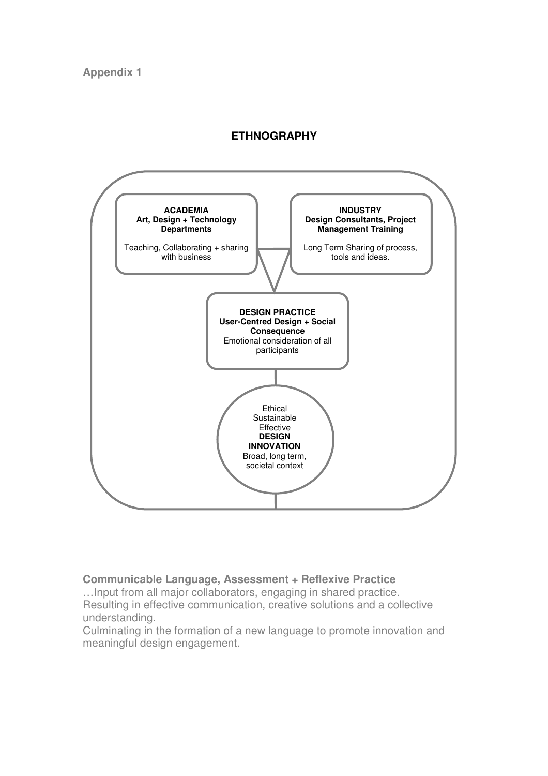# **ETHNOGRAPHY**



# **Communicable Language, Assessment + Reflexive Practice**

…Input from all major collaborators, engaging in shared practice. Resulting in effective communication, creative solutions and a collective understanding.

Culminating in the formation of a new language to promote innovation and meaningful design engagement.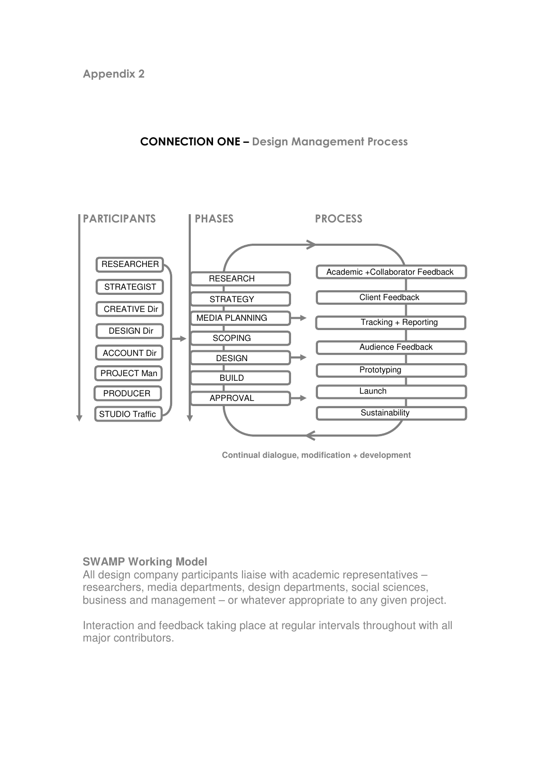

# CONNECTION ONE – Design Management Process

**Continual dialogue, modification + development** 

# **SWAMP Working Model**

All design company participants liaise with academic representatives – researchers, media departments, design departments, social sciences, business and management – or whatever appropriate to any given project.

Interaction and feedback taking place at regular intervals throughout with all major contributors.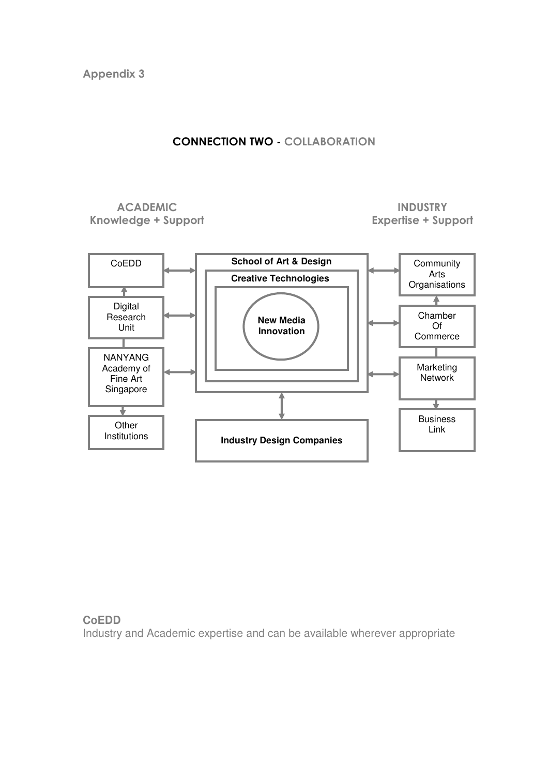# CONNECTION TWO - COLLABORATION

### ACADEMIC Knowledge + Support

# INDUSTRY Expertise + Support



# **CoEDD**  Industry and Academic expertise and can be available wherever appropriate